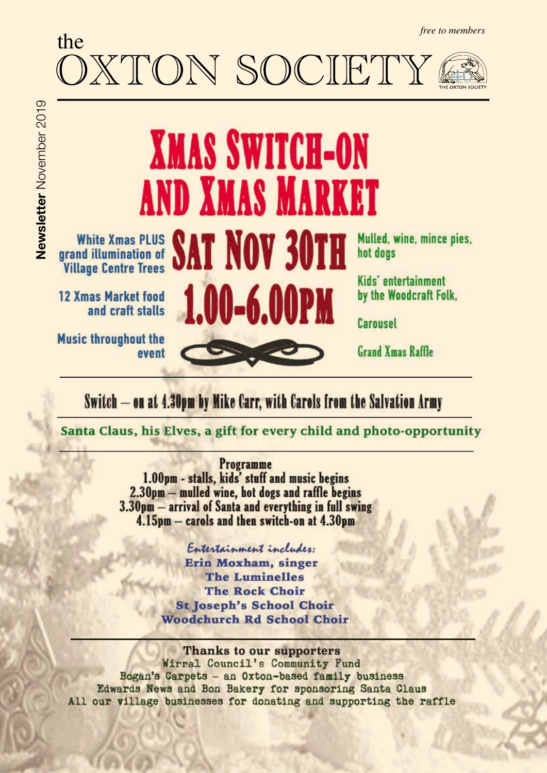# the OXTON SOCIETY *free to members* 40

# **XMAS SWITCH-ON AND XMAS MARKET** White Xmas PLUS SAT NOV 30TH

**12 Xmas Market food** and craft stalls

**Music throughout the** event Mulled, wine, mince pies, hot dogs

Kids' entertainment by the Woodcraft Folk.

Carousel

**Grand Xmas Raffle** 

Switch - on at 4.30pm by Mike Carr, with Carols from the Salvation Army

1.00-6.00PM

Santa Claus, his Elves, a gift for every child and photo-opportunity

Programme 1.00pm - stalls, kids' stuff and music begins 2.30pm - mulled wine, hot dogs and raffle begins 3.30pm - arrival of Santa and everything in full swing 4.15pm - carols and then switch-on at 4.30pm

> Entertainment includes: Erin Moxham, singer **The Luminelles The Rock Choir St Joseph's School Choir Woodchurch Rd School Choir**

Thanks to our supporters Wirral Council's Community Fund Bogan's Carpets - an Oxton-based family business Edwards News and Bon Bakery for sponsoring Santa Claus All our village businesses for donating and supporting the raffle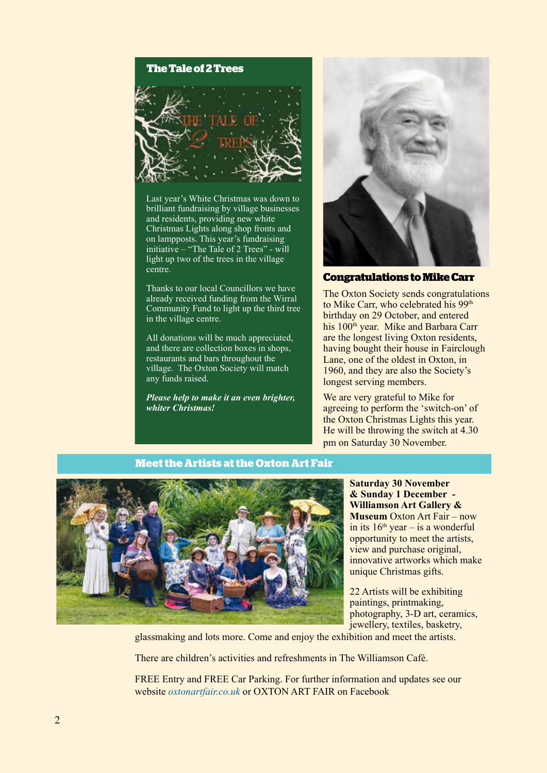#### **The Tale of 2 Trees**



Last year's White Christmas was down to brilliant fundraising by village businesses and residents, providing new white Christmas Lights along shop fronts and on lampposts. This year's fundraising initiative – "The Tale of 2 Trees" - will light up two of the trees in the village centre.

Thanks to our local Councillors we have already received funding from the Wirral Community Fund to light up the third tree in the village centre.

All donations will be much appreciated, and there are collection boxes in shops restaurants and bars throughout the village. The Oxton Society will match any funds raised.

*Please help to make it an even brighter, whiter Christmas!*



**Congratulations to Mike Carr**

The Oxton Society sends congratulations to Mike Carr, who celebrated his 99<sup>th</sup> birthday on 29 October, and entered his 100<sup>th</sup> year. Mike and Barbara Carr are the longest living Oxton residents having bought their house in Fairclough Lane, one of the oldest in Oxton, in 1960, and they are also the Society's longest serving members.

We are very grateful to Mike for agreeing to perform the 'switch-on' of the Oxton Christmas Lights this year. He will be throwing the switch at 4.30 pm on Saturday 30 November.

#### **Meet the Artists at the Oxton Art Fair**



**Saturday 30 November & Sunday 1 December - Williamson Art Gallery & Museum** Oxton Art Fair – now in its  $16<sup>th</sup>$  year – is a wonderful opportunity to meet the artists, view and purchase original, innovative artworks which make unique Christmas gifts.

22 Artists will be exhibiting paintings, printmaking, photography, 3-D art, ceramics, jewellery, textiles, basketry,

glassmaking and lots more. Come and enjoy the exhibition and meet the artists.

There are children's activities and refreshments in The Williamson Café.

FREE Entry and FREE Car Parking. For further information and updates see our website *oxtonartfair.co.uk* or OXTON ART FAIR on Facebook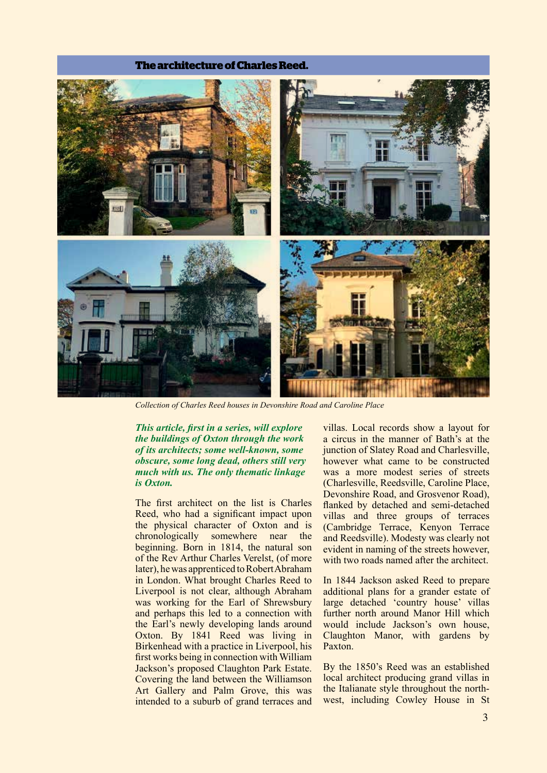#### **The architecture of Charles Reed.**



*Collection of Charles Reed houses in Devonshire Road and Caroline Place* 

*This article, frst in a series, will explore the buildings of Oxton through the work of its architects; some well-known, some obscure, some long dead, others still very much with us. The only thematic linkage is Oxton.*

The frst architect on the list is Charles Reed, who had a signifcant impact upon the physical character of Oxton and is chronologically somewhere near the beginning. Born in 1814, the natural son of the Rev Arthur Charles Verelst, (of more later), he was apprenticed to Robert Abraham in London. What brought Charles Reed to Liverpool is not clear, although Abraham was working for the Earl of Shrewsbury and perhaps this led to a connection with the Earl's newly developing lands around Oxton. By 1841 Reed was living in Birkenhead with a practice in Liverpool, his frst works being in connection with William Jackson's proposed Claughton Park Estate. Covering the land between the Williamson Art Gallery and Palm Grove, this was intended to a suburb of grand terraces and

villas. Local records show a layout for a circus in the manner of Bath's at the junction of Slatey Road and Charlesville, however what came to be constructed was a more modest series of streets (Charlesville, Reedsville, Caroline Place, Devonshire Road, and Grosvenor Road), fanked by detached and semi-detached villas and three groups of terraces (Cambridge Terrace, Kenyon Terrace and Reedsville). Modesty was clearly not evident in naming of the streets however, with two roads named after the architect.

In 1844 Jackson asked Reed to prepare additional plans for a grander estate of large detached 'country house' villas further north around Manor Hill which would include Jackson's own house, Claughton Manor, with gardens by Paxton.

By the 1850's Reed was an established local architect producing grand villas in the Italianate style throughout the northwest, including Cowley House in St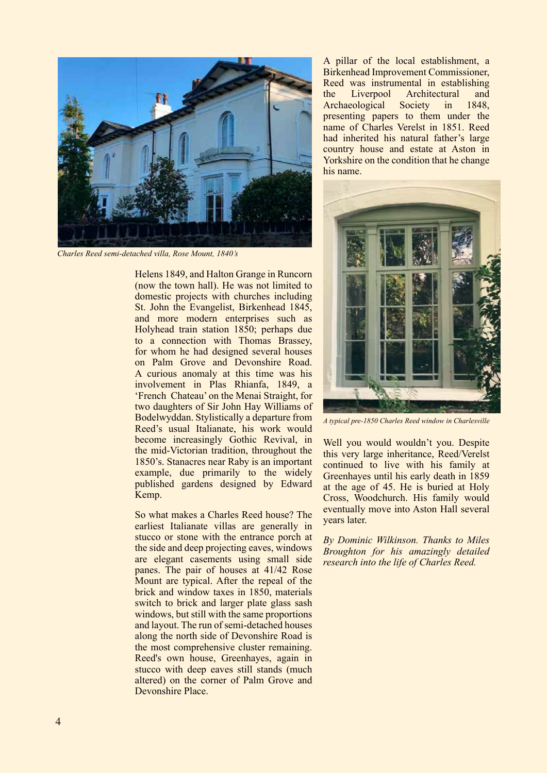

*Charles Reed semi-detached villa, Rose Mount, 1840's*

Helens 1849, and Halton Grange in Runcorn (now the town hall). He was not limited to domestic projects with churches including St. John the Evangelist, Birkenhead 1845, and more modern enterprises such as Holyhead train station 1850; perhaps due to a connection with Thomas Brassey, for whom he had designed several houses on Palm Grove and Devonshire Road. A curious anomaly at this time was his involvement in Plas Rhianfa, 1849, a 'French Chateau' on the Menai Straight, for two daughters of Sir John Hay Williams of Bodelwyddan. Stylistically a departure from Reed's usual Italianate, his work would become increasingly Gothic Revival, in the mid-Victorian tradition, throughout the 1850's. Stanacres near Raby is an important example, due primarily to the widely published gardens designed by Edward Kemp.

So what makes a Charles Reed house? The earliest Italianate villas are generally in stucco or stone with the entrance porch at the side and deep projecting eaves, windows are elegant casements using small side panes. The pair of houses at 41/42 Rose Mount are typical. After the repeal of the brick and window taxes in 1850, materials switch to brick and larger plate glass sash windows, but still with the same proportions and layout. The run of semi-detached houses along the north side of Devonshire Road is the most comprehensive cluster remaining. Reed's own house, Greenhayes, again in stucco with deep eaves still stands (much altered) on the corner of Palm Grove and Devonshire Place.

A pillar of the local establishment, a Birkenhead Improvement Commissioner, Reed was instrumental in establishing the Liverpool Architectural and Archaeological Society in 1848, presenting papers to them under the name of Charles Verelst in 1851. Reed had inherited his natural father's large country house and estate at Aston in Yorkshire on the condition that he change his name.



*A typical pre-1850 Charles Reed window in Charlesville*

Well you would wouldn't you. Despite this very large inheritance, Reed/Verelst continued to live with his family at Greenhayes until his early death in 1859 at the age of 45. He is buried at Holy Cross, Woodchurch. His family would eventually move into Aston Hall several years later.

*By Dominic Wilkinson. Thanks to Miles Broughton for his amazingly detailed research into the life of Charles Reed.*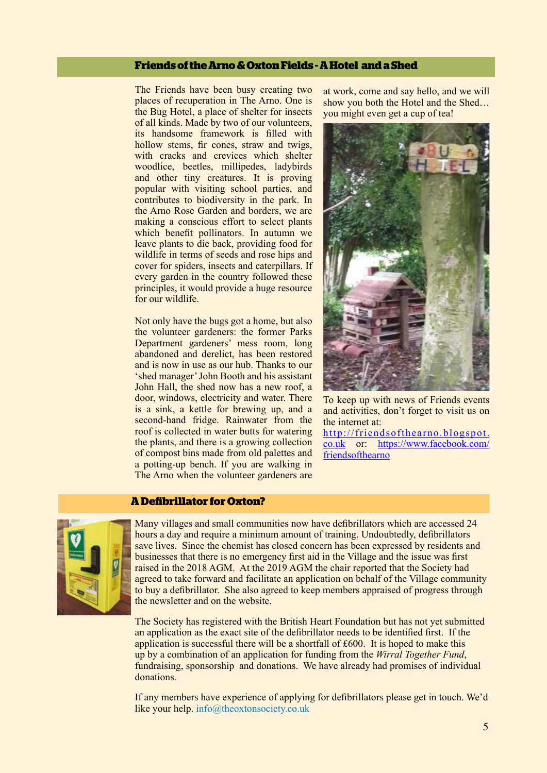# **Friends of the Arno & Oxton Fields - A Hotel and a Shed**

The Friends have been busy creating two places of recuperation in The Arno. One is the Bug Hotel, a place of shelter for insects of all kinds. Made by two of our volunteers, its handsome framework is flled with hollow stems, fir cones, straw and twigs, with cracks and crevices which shelter woodlice, beetles, millipedes, ladybirds and other tiny creatures. It is proving popular with visiting school parties, and contributes to biodiversity in the park. In the Arno Rose Garden and borders, we are making a conscious effort to select plants which benefit pollinators. In autumn we leave plants to die back, providing food for wildlife in terms of seeds and rose hips and cover for spiders, insects and caterpillars. If every garden in the country followed these principles, it would provide a huge resource for our wildlife.

Not only have the bugs got a home, but also the volunteer gardeners: the former Parks Department gardeners' mess room, long abandoned and derelict, has been restored and is now in use as our hub. Thanks to our 'shed manager' John Booth and his assistant John Hall, the shed now has a new roof, a door, windows, electricity and water. There is a sink, a kettle for brewing up, and a second-hand fridge. Rainwater from the roof is collected in water butts for watering the plants, and there is a growing collection of compost bins made from old palettes and a potting-up bench. If you are walking in The Arno when the volunteer gardeners are

at work, come and say hello, and we will show you both the Hotel and the Shed… you might even get a cup of tea!



To keep up with news of Friends events and activities, don't forget to visit us on the internet at:

http://friendsofthearno.blogspot. co.uk or: https://www.facebook.com/ **friendsofthearno** 

#### **A Defbrillator for Oxton?**



Many villages and small communities now have defbrillators which are accessed 24 hours a day and require a minimum amount of training. Undoubtedly, defbrillators save lives. Since the chemist has closed concern has been expressed by residents and businesses that there is no emergency frst aid in the Village and the issue was frst raised in the 2018 AGM. At the 2019 AGM the chair reported that the Society had agreed to take forward and facilitate an application on behalf of the Village community to buy a defbrillator. She also agreed to keep members appraised of progress through the newsletter and on the website.

The Society has registered with the British Heart Foundation but has not yet submitted an application as the exact site of the defbrillator needs to be identifed frst. If the application is successful there will be a shortfall of £600. It is hoped to make this up by a combination of an application for funding from the *Wirral Together Fund*, fundraising, sponsorship and donations. We have already had promises of individual donations.

If any members have experience of applying for defbrillators please get in touch. We'd like your help. info@theoxtonsociety.co.uk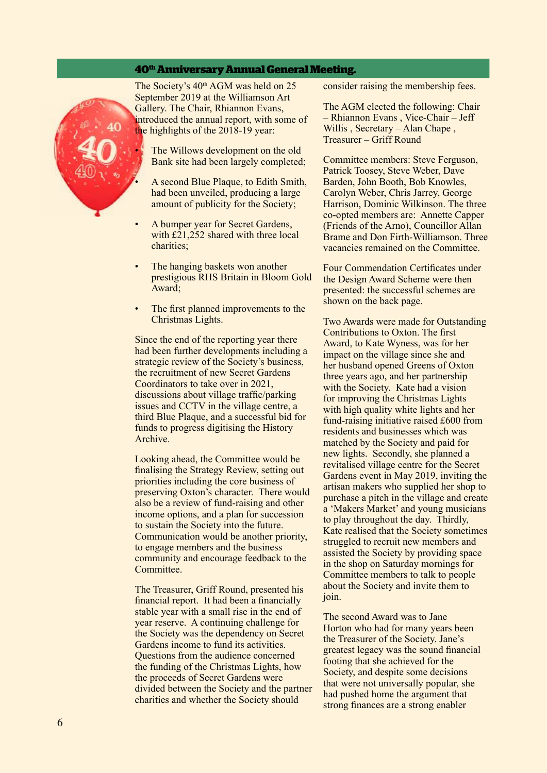#### **40th Anniversary Annual General Meeting.**



The Society's 40<sup>th</sup> AGM was held on 25 September 2019 at the Williamson Art Gallery. The Chair, Rhiannon Evans, introduced the annual report, with some of the highlights of the 2018-19 year:

The Willows development on the old Bank site had been largely completed;

- A second Blue Plaque, to Edith Smith, had been unveiled, producing a large amount of publicity for the Society;
- A bumper year for Secret Gardens, with £21,252 shared with three local charities;
- The hanging baskets won another prestigious RHS Britain in Bloom Gold Award;
- The first planned improvements to the Christmas Lights.

Since the end of the reporting year there had been further developments including a strategic review of the Society's business, the recruitment of new Secret Gardens Coordinators to take over in 2021, discussions about village traffc/parking issues and CCTV in the village centre, a third Blue Plaque, and a successful bid for funds to progress digitising the History **Archive** 

Looking ahead, the Committee would be fnalising the Strategy Review, setting out priorities including the core business of preserving Oxton's character. There would also be a review of fund-raising and other income options, and a plan for succession to sustain the Society into the future. Communication would be another priority, to engage members and the business community and encourage feedback to the Committee.

The Treasurer, Griff Round, presented his fnancial report. It had been a fnancially stable year with a small rise in the end of year reserve. A continuing challenge for the Society was the dependency on Secret Gardens income to fund its activities. Questions from the audience concerned the funding of the Christmas Lights, how the proceeds of Secret Gardens were divided between the Society and the partner charities and whether the Society should

consider raising the membership fees.

The AGM elected the following: Chair – Rhiannon Evans , Vice-Chair – Jeff Willis , Secretary – Alan Chape , Treasurer – Griff Round

Committee members: Steve Ferguson, Patrick Toosey, Steve Weber, Dave Barden, John Booth, Bob Knowles, Carolyn Weber, Chris Jarrey, George Harrison, Dominic Wilkinson. The three co-opted members are: Annette Capper (Friends of the Arno), Councillor Allan Brame and Don Firth-Williamson. Three vacancies remained on the Committee.

Four Commendation Certifcates under the Design Award Scheme were then presented: the successful schemes are shown on the back page.

Two Awards were made for Outstanding Contributions to Oxton. The frst Award, to Kate Wyness, was for her impact on the village since she and her husband opened Greens of Oxton three years ago, and her partnership with the Society. Kate had a vision for improving the Christmas Lights with high quality white lights and her fund-raising initiative raised £600 from residents and businesses which was matched by the Society and paid for new lights. Secondly, she planned a revitalised village centre for the Secret Gardens event in May 2019, inviting the artisan makers who supplied her shop to purchase a pitch in the village and create a 'Makers Market' and young musicians to play throughout the day. Thirdly, Kate realised that the Society sometimes struggled to recruit new members and assisted the Society by providing space in the shop on Saturday mornings for Committee members to talk to people about the Society and invite them to join.

The second Award was to Jane Horton who had for many years been the Treasurer of the Society. Jane's greatest legacy was the sound fnancial footing that she achieved for the Society, and despite some decisions that were not universally popular, she had pushed home the argument that strong fnances are a strong enabler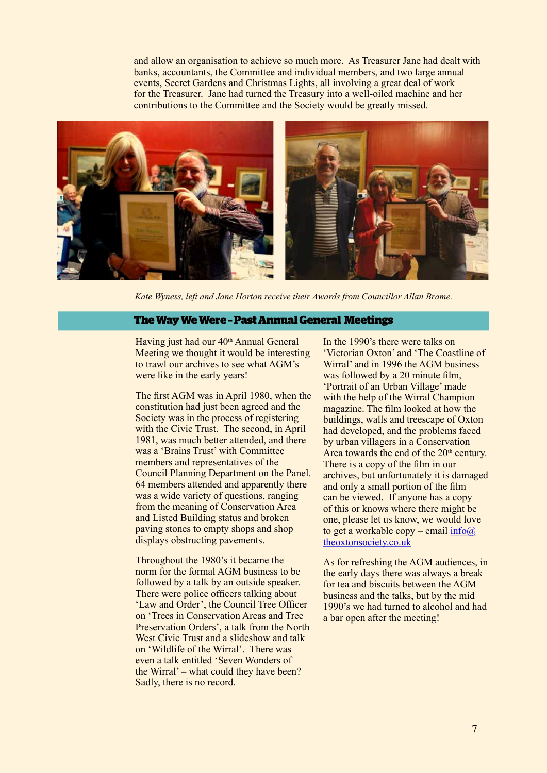and allow an organisation to achieve so much more. As Treasurer Jane had dealt with banks, accountants, the Committee and individual members, and two large annual events, Secret Gardens and Christmas Lights, all involving a great deal of work for the Treasurer. Jane had turned the Treasury into a well-oiled machine and her contributions to the Committee and the Society would be greatly missed.



*Kate Wyness, left and Jane Horton receive their Awards from Councillor Allan Brame.*

#### **The Way We Were – Past Annual General Meetings**

Having just had our 40<sup>th</sup> Annual General Meeting we thought it would be interesting to trawl our archives to see what AGM's were like in the early years!

The frst AGM was in April 1980, when the constitution had just been agreed and the Society was in the process of registering with the Civic Trust. The second, in April 1981, was much better attended, and there was a 'Brains Trust' with Committee members and representatives of the Council Planning Department on the Panel. 64 members attended and apparently there was a wide variety of questions, ranging from the meaning of Conservation Area and Listed Building status and broken paving stones to empty shops and shop displays obstructing pavements.

Throughout the 1980's it became the norm for the formal AGM business to be followed by a talk by an outside speaker. There were police officers talking about 'Law and Order', the Council Tree Officer on 'Trees in Conservation Areas and Tree Preservation Orders', a talk from the North West Civic Trust and a slideshow and talk on 'Wildlife of the Wirral'. There was even a talk entitled 'Seven Wonders of the Wirral' – what could they have been? Sadly, there is no record.

In the 1990's there were talks on 'Victorian Oxton' and 'The Coastline of Wirral' and in 1996 the AGM business was followed by a 20 minute film, 'Portrait of an Urban Village' made with the help of the Wirral Champion magazine. The flm looked at how the buildings, walls and treescape of Oxton had developed, and the problems faced by urban villagers in a Conservation Area towards the end of the  $20<sup>th</sup>$  century. There is a copy of the flm in our archives, but unfortunately it is damaged and only a small portion of the flm can be viewed. If anyone has a copy of this or knows where there might be one, please let us know, we would love to get a workable copy – email  $info@$ theoxtonsociety.co.uk

As for refreshing the AGM audiences, in the early days there was always a break for tea and biscuits between the AGM business and the talks, but by the mid 1990's we had turned to alcohol and had a bar open after the meeting!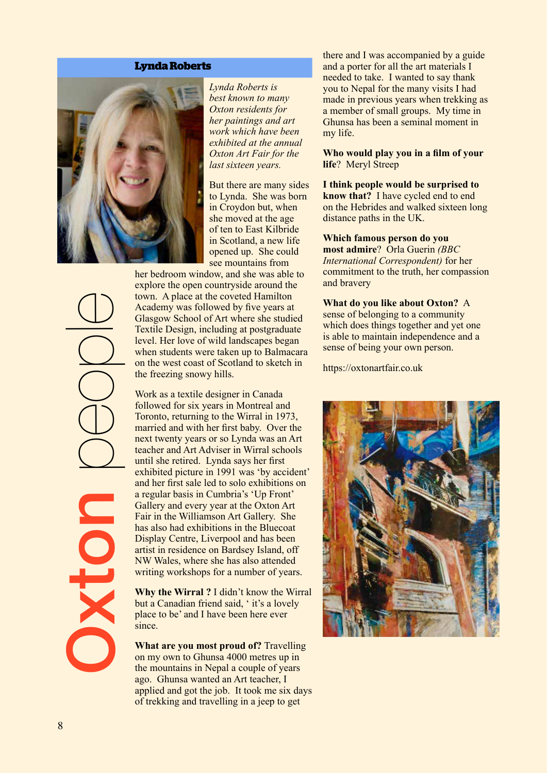#### **Lynda Roberts**



*Lynda Roberts is best known to many Oxton residents for her paintings and art work which have been exhibited at the annual Oxton Art Fair for the last sixteen years.*

But there are many sides to Lynda. She was born in Croydon but, when she moved at the age of ten to East Kilbride in Scotland, a new life opened up. She could see mountains from

her bedroom window, and she was able to explore the open countryside around the town. A place at the coveted Hamilton Academy was followed by fve years at Glasgow School of Art where she studied Textile Design, including at postgraduate level. Her love of wild landscapes began when students were taken up to Balmacara on the west coast of Scotland to sketch in the freezing snowy hills.

Work as a textile designer in Canada followed for six years in Montreal and Toronto, returning to the Wirral in 1973, married and with her frst baby. Over the next twenty years or so Lynda was an Art teacher and Art Adviser in Wirral schools until she retired. Lynda says her frst exhibited picture in 1991 was 'by accident' and her frst sale led to solo exhibitions on a regular basis in Cumbria's 'Up Front' Gallery and every year at the Oxton Art Fair in the Williamson Art Gallery. She has also had exhibitions in the Bluecoat Display Centre, Liverpool and has been artist in residence on Bardsey Island, off NW Wales, where she has also attended writing workshops for a number of years.

**Why the Wirral ?** I didn't know the Wirral but a Canadian friend said, ' it's a lovely place to be' and I have been here ever since.

**What are you most proud of?** Travelling on my own to Ghunsa 4000 metres up in the mountains in Nepal a couple of years ago. Ghunsa wanted an Art teacher, I applied and got the job. It took me six days of trekking and travelling in a jeep to get

there and I was accompanied by a guide and a porter for all the art materials I needed to take. I wanted to say thank you to Nepal for the many visits I had made in previous years when trekking as a member of small groups. My time in Ghunsa has been a seminal moment in my life.

**Who would play you in a flm of your life**? Meryl Streep

#### **I think people would be surprised to**

**know that?** I have cycled end to end on the Hebrides and walked sixteen long distance paths in the UK.

#### **Which famous person do you**

**most admire**? Orla Guerin *(BBC International Correspondent)* for her commitment to the truth, her compassion and bravery

#### **What do you like about Oxton?** A

sense of belonging to a community which does things together and yet one is able to maintain independence and a sense of being your own person.

https://oxtonartfair.co.uk



Oxton people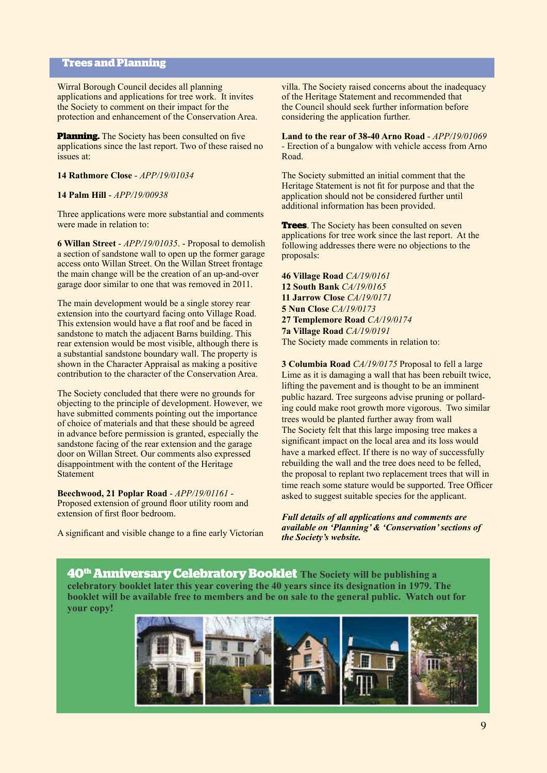# **Trees and Planning**

Wirral Borough Council decides all planning applications and applications for tree work. It invites the Society to comment on their impact for the protection and enhancement of the Conservation Area.

**Planning.** The Society has been consulted on five applications since the last report. Two of these raised no issues at:

#### **14 Rathmore Close** - *APP/19/01034*

#### **14 Palm Hill** - *APP/19/00938*

Three applications were more substantial and comments were made in relation to:

**6 Willan Street** - *APP/19/01035*. - Proposal to demolish a section of sandstone wall to open up the former garage access onto Willan Street. On the Willan Street frontage the main change will be the creation of an up-and-over garage door similar to one that was removed in 2011.

The main development would be a single storey rear extension into the courtyard facing onto Village Road. This extension would have a flat roof and be faced in sandstone to match the adjacent Barns building. This rear extension would be most visible, although there is a substantial sandstone boundary wall. The property is shown in the Character Appraisal as making a positive contribution to the character of the Conservation Area.

The Society concluded that there were no grounds for objecting to the principle of development. However, we have submitted comments pointing out the importance of choice of materials and that these should be agreed in advance before permission is granted, especially the sandstone facing of the rear extension and the garage door on Willan Street. Our comments also expressed disappointment with the content of the Heritage Statement

**Beechwood, 21 Poplar Road** - *APP/19/01161* - Proposed extension of ground floor utility room and extension of first floor bedroom.

A signifcant and visible change to a fne early Victorian

villa. The Society raised concerns about the inadequacy of the Heritage Statement and recommended that the Council should seek further information before considering the application further.

**Land to the rear of 38-40 Arno Road** - *APP/19/01069 -* Erection of a bungalow with vehicle access from Arno Road.

The Society submitted an initial comment that the Heritage Statement is not ft for purpose and that the application should not be considered further until additional information has been provided.

**Trees**. The Society has been consulted on seven applications for tree work since the last report. At the following addresses there were no objections to the proposals:

**46 Village Road** *CA/19/0161* **12 South Bank** *CA/19/0165* **11 Jarrow Close** *CA/19/0171* **5 Nun Close** *CA/19/0173* **27 Templemore Road** *CA/19/0174* **7a Village Road** *CA/19/0191* The Society made comments in relation to:

**3 Columbia Road** *CA/19/0175* Proposal to fell a large Lime as it is damaging a wall that has been rebuilt twice, lifting the pavement and is thought to be an imminent public hazard. Tree surgeons advise pruning or pollarding could make root growth more vigorous. Two similar trees would be planted further away from wall The Society felt that this large imposing tree makes a signifcant impact on the local area and its loss would have a marked effect. If there is no way of successfully rebuilding the wall and the tree does need to be felled, the proposal to replant two replacement trees that will in time reach some stature would be supported. Tree Officer asked to suggest suitable species for the applicant.

*Full details of all applications and comments are available on 'Planning' & 'Conservation' sections of the Society's website.*

**40th Anniversary Celebratory Booklet The Society will be publishing a celebratory booklet later this year covering the 40 years since its designation in 1979. The booklet will be available free to members and be on sale to the general public. Watch out for your copy!**

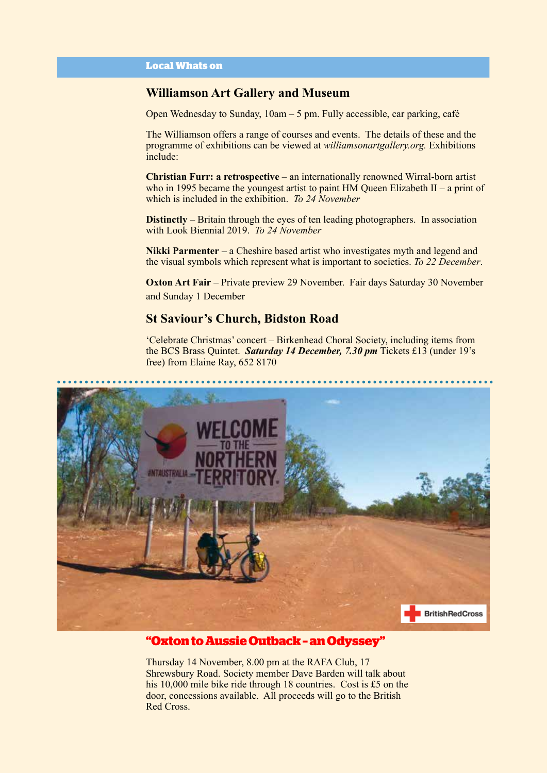# **Williamson Art Gallery and Museum**

Open Wednesday to Sunday, 10am – 5 pm. Fully accessible, car parking, café

The Williamson offers a range of courses and events. The details of these and the programme of exhibitions can be viewed at *williamsonartgallery.org.* Exhibitions include:

**Christian Furr: a retrospective** – an internationally renowned Wirral-born artist who in 1995 became the youngest artist to paint HM Queen Elizabeth II – a print of which is included in the exhibition. *To 24 November*

**Distinctly** – Britain through the eyes of ten leading photographers. In association with Look Biennial 2019. *To 24 November*

**Nikki Parmenter** – a Cheshire based artist who investigates myth and legend and the visual symbols which represent what is important to societies. *To 22 December*.

**Oxton Art Fair** – Private preview 29 November. Fair days Saturday 30 November and Sunday 1 December

# **St Saviour's Church, Bidston Road**

'Celebrate Christmas' concert – Birkenhead Choral Society, including items from the BCS Brass Quintet. *Saturday 14 December, 7.30 pm* Tickets £13 (under 19's free) from Elaine Ray, 652 8170



# **"Oxton to Aussie Outback – an Odyssey"**

Thursday 14 November, 8.00 pm at the RAFA Club, 17 Shrewsbury Road. Society member Dave Barden will talk about his 10,000 mile bike ride through 18 countries. Cost is £5 on the door, concessions available. All proceeds will go to the British Red Cross.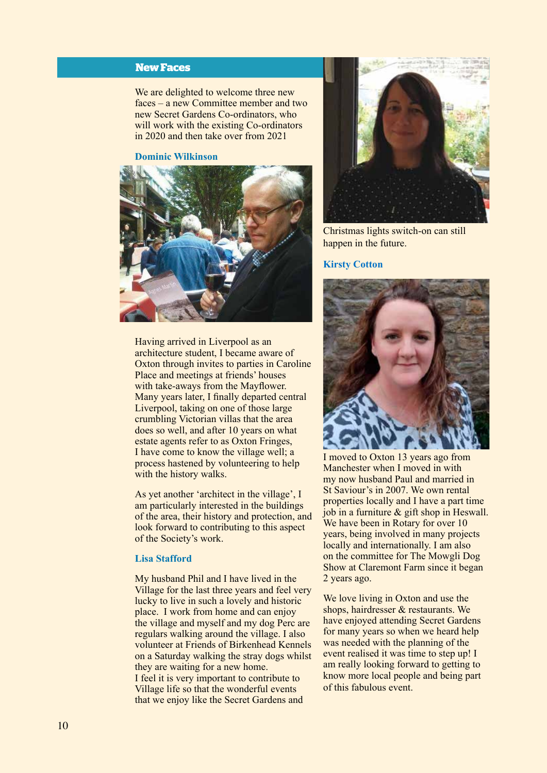# **New Faces**

We are delighted to welcome three new faces – a new Committee member and two new Secret Gardens Co-ordinators, who will work with the existing Co-ordinators in 2020 and then take over from 2021

#### **Dominic Wilkinson**



Having arrived in Liverpool as an architecture student, I became aware of Oxton through invites to parties in Caroline Place and meetings at friends' houses with take-aways from the Mayfower. Many years later, I fnally departed central Liverpool, taking on one of those large crumbling Victorian villas that the area does so well, and after 10 years on what estate agents refer to as Oxton Fringes, I have come to know the village well; a process hastened by volunteering to help with the history walks.

As yet another 'architect in the village', I am particularly interested in the buildings of the area, their history and protection, and look forward to contributing to this aspect of the Society's work.

#### **Lisa Stafford**

My husband Phil and I have lived in the Village for the last three years and feel very lucky to live in such a lovely and historic place. I work from home and can enjoy the village and myself and my dog Perc are regulars walking around the village. I also volunteer at Friends of Birkenhead Kennels on a Saturday walking the stray dogs whilst they are waiting for a new home. I feel it is very important to contribute to Village life so that the wonderful events that we enjoy like the Secret Gardens and



Christmas lights switch-on can still happen in the future.

#### **Kirsty Cotton**



I moved to Oxton 13 years ago from Manchester when I moved in with my now husband Paul and married in St Saviour's in 2007. We own rental properties locally and I have a part time job in a furniture & gift shop in Heswall. We have been in Rotary for over 10 years, being involved in many projects locally and internationally. I am also on the committee for The Mowgli Dog Show at Claremont Farm since it began 2 years ago.

We love living in Oxton and use the shops, hairdresser & restaurants. We have enjoyed attending Secret Gardens for many years so when we heard help was needed with the planning of the event realised it was time to step up! I am really looking forward to getting to know more local people and being part of this fabulous event.